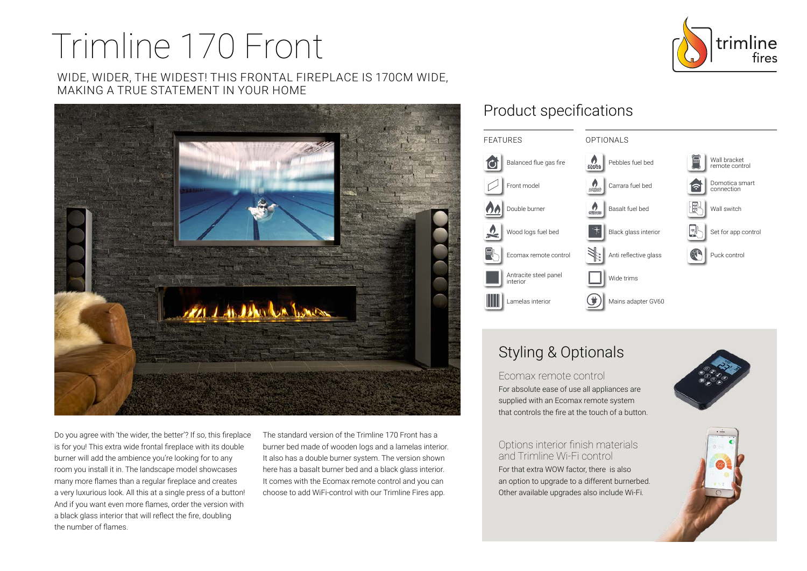# Trimline 170 Front

WIDE, WIDER, THE WIDEST! THIS FRONTAL FIREPLACE IS 170CM WIDE, MAKING A TRUE STATEMENT IN YOUR HOME



Do you agree with 'the wider, the better'? If so, this fireplace is for you! This extra wide frontal fireplace with its double burner will add the ambience you're looking for to any room you install it in. The landscape model showcases many more flames than a regular fireplace and creates a very luxurious look. All this at a single press of a button! And if you want even more flames, order the version with a black glass interior that will reflect the fire, doubling the number of flames.

The standard version of the Trimline 170 Front has a burner bed made of wooden logs and a lamelas interior. It also has a double burner system. The version shown here has a basalt burner bed and a black glass interior. It comes with the Ecomax remote control and you can choose to add WiFi-control with our Trimline Fires app.

## Product specifications



# Styling & Optionals

Ecomax remote control For absolute ease of use all appliances are supplied with an Ecomax remote system that controls the fire at the touch of a button.

Options interior finish materials and Trimline Wi-Fi control For that extra WOW factor, there is also an option to upgrade to a different burnerbed. Other available upgrades also include Wi-Fi.